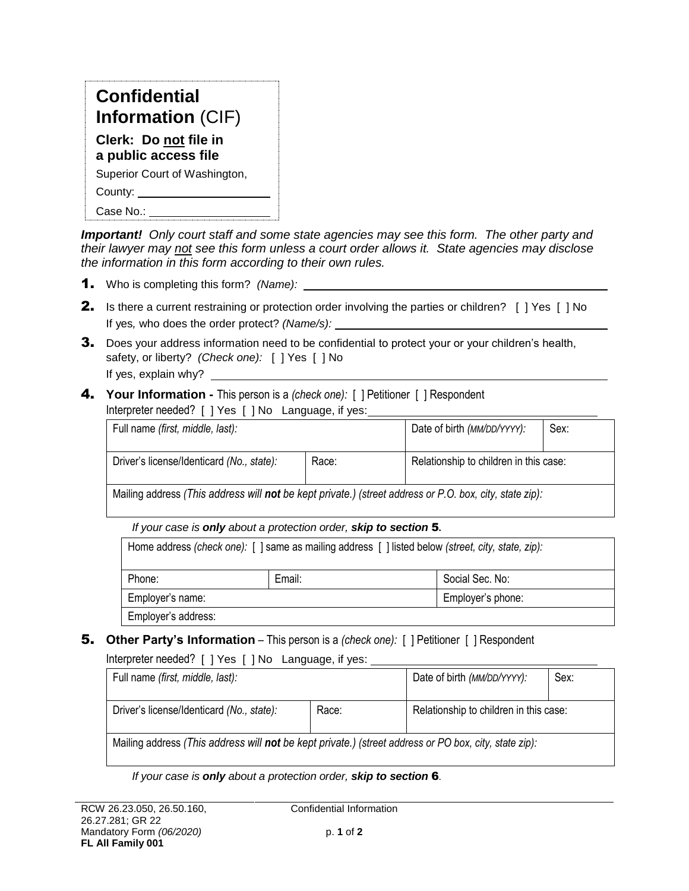| <b>Confidential</b>                           |
|-----------------------------------------------|
| <b>Information (CIF)</b>                      |
| Clerk: Do not file in<br>a public access file |
| Superior Court of Washington,                 |
| County:                                       |
| Case No.:                                     |

*Important! Only court staff and some state agencies may see this form. The other party and their lawyer may not see this form unless a court order allows it. State agencies may disclose the information in this form according to their own rules.*

- 1. Who is completing this form? *(Name):*
- 2. Is there a current restraining or protection order involving the parties or children? [ ] Yes [ ] No If yes*,* who does the order protect? *(Name/s):*
- **3.** Does your address information need to be confidential to protect your or your children's health, safety, or liberty? *(Check one):* [ ] Yes [ ] No If yes, explain why? \_
- 4. **Your Information -** This person is a *(check one):* [ ] Petitioner [ ] Respondent Interpreter needed? [ ] Yes [ ] No Language, if yes:

| Full name <i>(first, middle, last):</i>                                                                    |       | Date of birth (MM/DD/YYYY):            | Sex: |
|------------------------------------------------------------------------------------------------------------|-------|----------------------------------------|------|
| Driver's license/Identicard (No., state):                                                                  | Race: | Relationship to children in this case: |      |
| Mailing address (This address will <b>not</b> be kent private) (street address or P O hoy city state zin); |       |                                        |      |

Mailing address *(This address will not be kept private.) (street address or P.O. box, city, state zip):* 

### *If your case is only about a protection order, skip to section* 5**.**

| Home address (check one): [] same as mailing address [] listed below (street, city, state, zip): |        |                   |
|--------------------------------------------------------------------------------------------------|--------|-------------------|
|                                                                                                  | Fmail: | Social Sec. No:   |
| Employer's name:                                                                                 |        | Employer's phone: |
| mployer's address:                                                                               |        |                   |

**5.** Other Party's Information – This person is a *(check one):* [ ] Petitioner [ ] Respondent

Interpreter needed? [ ] Yes [ ] No Language, if yes:

| Full name (first, middle, last):                                                                      |       | Date of birth (MM/DD/YYYY):<br>sex:    |  |
|-------------------------------------------------------------------------------------------------------|-------|----------------------------------------|--|
| Driver's license/Identicard (No., state):                                                             | Race: | Relationship to children in this case: |  |
| Mailing address (This address will not be kept private.) (street address or PO box, city, state zip): |       |                                        |  |

*If your case is only about a protection order, skip to section* 6.